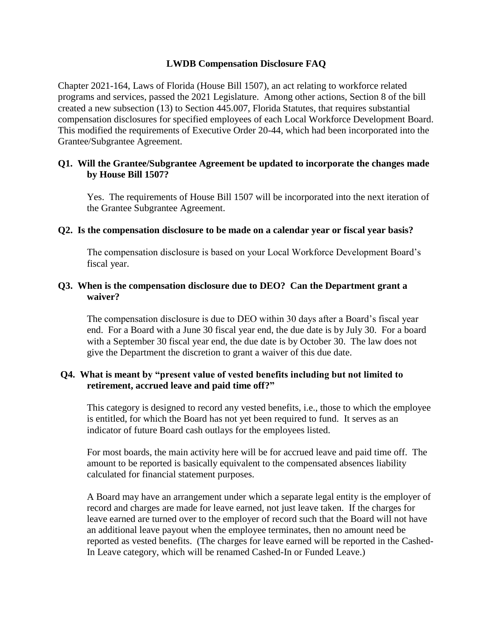# **LWDB Compensation Disclosure FAQ**

Chapter 2021-164, Laws of Florida (House Bill 1507), an act relating to workforce related programs and services, passed the 2021 Legislature. Among other actions, Section 8 of the bill created a new subsection (13) to Section 445.007, Florida Statutes, that requires substantial compensation disclosures for specified employees of each Local Workforce Development Board. This modified the requirements of Executive Order 20-44, which had been incorporated into the Grantee/Subgrantee Agreement.

# **Q1. Will the Grantee/Subgrantee Agreement be updated to incorporate the changes made by House Bill 1507?**

Yes. The requirements of House Bill 1507 will be incorporated into the next iteration of the Grantee Subgrantee Agreement.

## **Q2. Is the compensation disclosure to be made on a calendar year or fiscal year basis?**

The compensation disclosure is based on your Local Workforce Development Board's fiscal year.

#### **Q3. When is the compensation disclosure due to DEO? Can the Department grant a waiver?**

The compensation disclosure is due to DEO within 30 days after a Board's fiscal year end. For a Board with a June 30 fiscal year end, the due date is by July 30. For a board with a September 30 fiscal year end, the due date is by October 30. The law does not give the Department the discretion to grant a waiver of this due date.

# **Q4. What is meant by "present value of vested benefits including but not limited to retirement, accrued leave and paid time off?"**

This category is designed to record any vested benefits, i.e., those to which the employee is entitled, for which the Board has not yet been required to fund. It serves as an indicator of future Board cash outlays for the employees listed.

For most boards, the main activity here will be for accrued leave and paid time off. The amount to be reported is basically equivalent to the compensated absences liability calculated for financial statement purposes.

A Board may have an arrangement under which a separate legal entity is the employer of record and charges are made for leave earned, not just leave taken. If the charges for leave earned are turned over to the employer of record such that the Board will not have an additional leave payout when the employee terminates, then no amount need be reported as vested benefits. (The charges for leave earned will be reported in the Cashed-In Leave category, which will be renamed Cashed-In or Funded Leave.)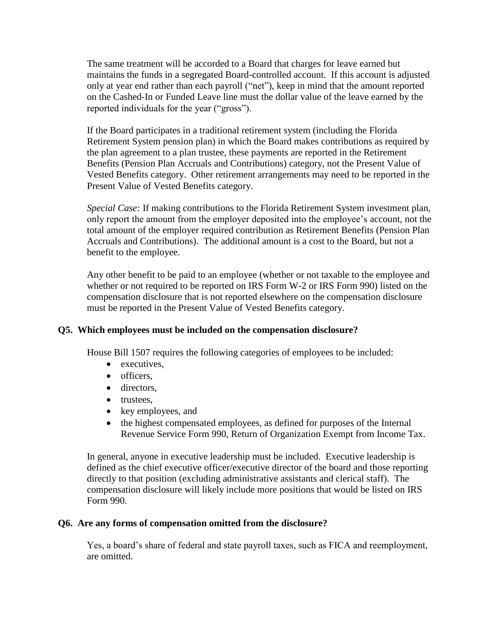The same treatment will be accorded to a Board that charges for leave earned but maintains the funds in a segregated Board-controlled account. If this account is adjusted only at year end rather than each payroll ("net"), keep in mind that the amount reported on the Cashed-In or Funded Leave line must the dollar value of the leave earned by the reported individuals for the year ("gross").

If the Board participates in a traditional retirement system (including the Florida Retirement System pension plan) in which the Board makes contributions as required by the plan agreement to a plan trustee, these payments are reported in the Retirement Benefits (Pension Plan Accruals and Contributions) category, not the Present Value of Vested Benefits category. Other retirement arrangements may need to be reported in the Present Value of Vested Benefits category.

*Special Case:* If making contributions to the Florida Retirement System investment plan, only report the amount from the employer deposited into the employee's account, not the total amount of the employer required contribution as Retirement Benefits (Pension Plan Accruals and Contributions). The additional amount is a cost to the Board, but not a benefit to the employee.

Any other benefit to be paid to an employee (whether or not taxable to the employee and whether or not required to be reported on IRS Form W-2 or IRS Form 990) listed on the compensation disclosure that is not reported elsewhere on the compensation disclosure must be reported in the Present Value of Vested Benefits category.

# **Q5. Which employees must be included on the compensation disclosure?**

House Bill 1507 requires the following categories of employees to be included:

- executives.
- officers.
- directors.
- trustees.
- key employees, and
- the highest compensated employees, as defined for purposes of the Internal Revenue Service Form 990, Return of Organization Exempt from Income Tax.

In general, anyone in executive leadership must be included. Executive leadership is defined as the chief executive officer/executive director of the board and those reporting directly to that position (excluding administrative assistants and clerical staff). The compensation disclosure will likely include more positions that would be listed on IRS Form 990.

## **Q6. Are any forms of compensation omitted from the disclosure?**

Yes, a board's share of federal and state payroll taxes, such as FICA and reemployment, are omitted.